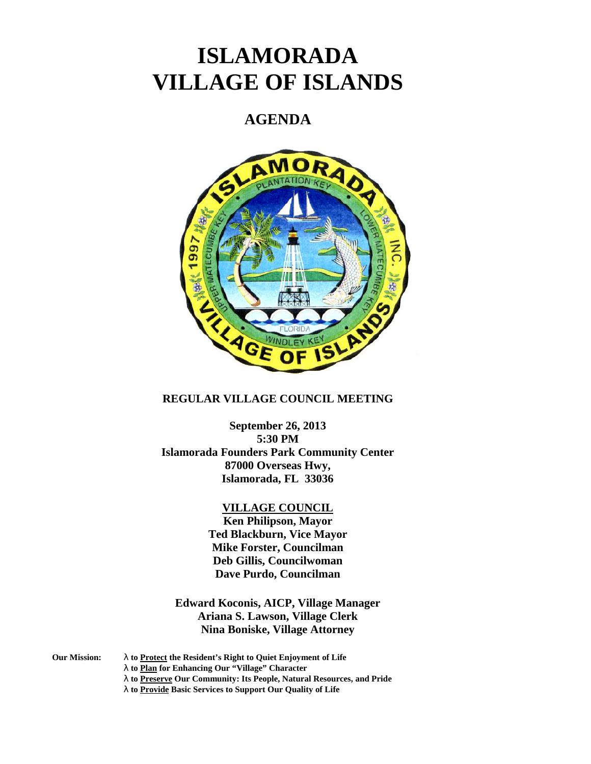# **ISLAMORADA VILLAGE OF ISLANDS**

# **AGENDA**



# **REGULAR VILLAGE COUNCIL MEETING**

**September 26, 2013 5:30 PM Islamorada Founders Park Community Center 87000 Overseas Hwy, Islamorada, FL 33036**

# **VILLAGE COUNCIL**

**Ken Philipson, Mayor Ted Blackburn, Vice Mayor Mike Forster, Councilman Deb Gillis, Councilwoman Dave Purdo, Councilman**

**Edward Koconis, AICP, Village Manager Ariana S. Lawson, Village Clerk Nina Boniske, Village Attorney**

- **Our Mission: to Protect the Resident's Right to Quiet Enjoyment of Life**
	- **to Plan for Enhancing Our "Village" Character**
	- **to Preserve Our Community: Its People, Natural Resources, and Pride**
	- **to Provide Basic Services to Support Our Quality of Life**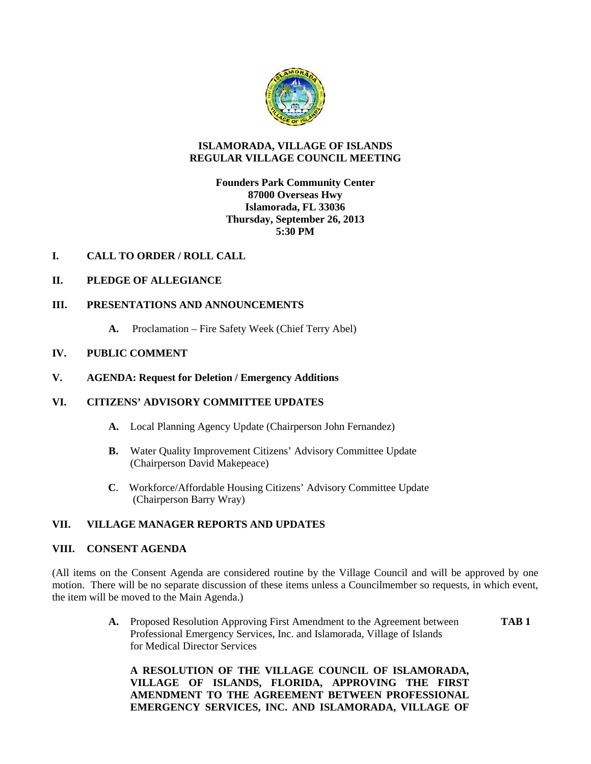

# **ISLAMORADA, VILLAGE OF ISLANDS REGULAR VILLAGE COUNCIL MEETING**

**Founders Park Community Center 87000 Overseas Hwy Islamorada, FL 33036 Thursday, September 26, 2013 5:30 PM**

# **I. CALL TO ORDER / ROLL CALL**

# **II. PLEDGE OF ALLEGIANCE**

# **III. PRESENTATIONS AND ANNOUNCEMENTS**

**A.** Proclamation – Fire Safety Week (Chief Terry Abel)

# **IV. PUBLIC COMMENT**

#### **V. AGENDA: Request for Deletion / Emergency Additions**

#### **VI. CITIZENS' ADVISORY COMMITTEE UPDATES**

- **A.** Local Planning Agency Update (Chairperson John Fernandez)
- **B.** Water Quality Improvement Citizens' Advisory Committee Update (Chairperson David Makepeace)
- **C**. Workforce/Affordable Housing Citizens' Advisory Committee Update (Chairperson Barry Wray)

# **VII. VILLAGE MANAGER REPORTS AND UPDATES**

#### **VIII. CONSENT AGENDA**

(All items on the Consent Agenda are considered routine by the Village Council and will be approved by one motion. There will be no separate discussion of these items unless a Councilmember so requests, in which event, the item will be moved to the Main Agenda.)

> **A.** Proposed Resolution Approving First Amendment to the Agreement between **TAB 1** Professional Emergency Services, Inc. and Islamorada, Village of Islands for Medical Director Services

**A RESOLUTION OF THE VILLAGE COUNCIL OF ISLAMORADA, VILLAGE OF ISLANDS, FLORIDA, APPROVING THE FIRST AMENDMENT TO THE AGREEMENT BETWEEN PROFESSIONAL EMERGENCY SERVICES, INC. AND ISLAMORADA, VILLAGE OF**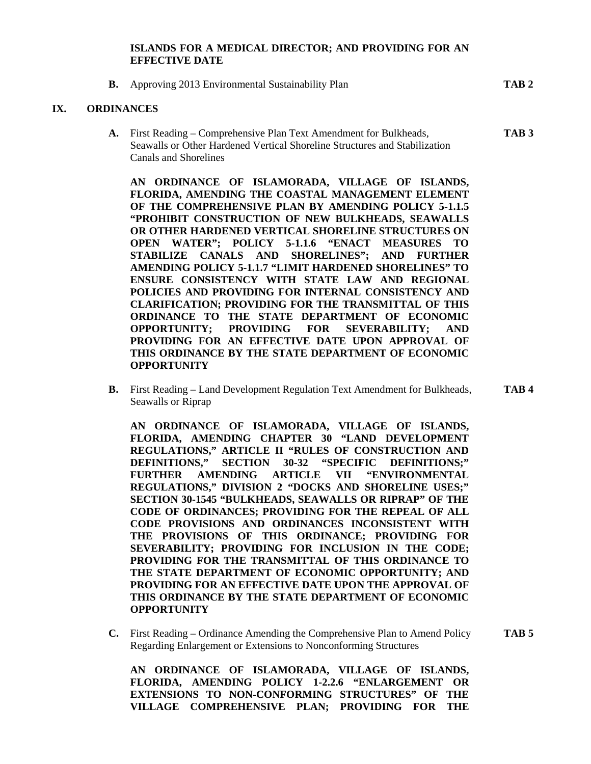#### **ISLANDS FOR A MEDICAL DIRECTOR; AND PROVIDING FOR AN EFFECTIVE DATE**

- **B.** Approving 2013 Environmental Sustainability Plan **TAB 2 IX. ORDINANCES**
	- **A.** First Reading Comprehensive Plan Text Amendment for Bulkheads, **TAB 3** Seawalls or Other Hardened Vertical Shoreline Structures and Stabilization Canals and Shorelines

**AN ORDINANCE OF ISLAMORADA, VILLAGE OF ISLANDS, FLORIDA, AMENDING THE COASTAL MANAGEMENT ELEMENT OF THE COMPREHENSIVE PLAN BY AMENDING POLICY 5-1.1.5 "PROHIBIT CONSTRUCTION OF NEW BULKHEADS, SEAWALLS OR OTHER HARDENED VERTICAL SHORELINE STRUCTURES ON OPEN WATER"; POLICY 5-1.1.6 "ENACT MEASURES TO STABILIZE CANALS AND SHORELINES"; AND FURTHER AMENDING POLICY 5-1.1.7 "LIMIT HARDENED SHORELINES" TO ENSURE CONSISTENCY WITH STATE LAW AND REGIONAL POLICIES AND PROVIDING FOR INTERNAL CONSISTENCY AND CLARIFICATION; PROVIDING FOR THE TRANSMITTAL OF THIS ORDINANCE TO THE STATE DEPARTMENT OF ECONOMIC OPPORTUNITY; PROVIDING FOR SEVERABILITY; AND PROVIDING FOR AN EFFECTIVE DATE UPON APPROVAL OF THIS ORDINANCE BY THE STATE DEPARTMENT OF ECONOMIC OPPORTUNITY**

**B.** First Reading – Land Development Regulation Text Amendment for Bulkheads, **TAB 4** Seawalls or Riprap

**AN ORDINANCE OF ISLAMORADA, VILLAGE OF ISLANDS, FLORIDA, AMENDING CHAPTER 30 "LAND DEVELOPMENT REGULATIONS," ARTICLE II "RULES OF CONSTRUCTION AND DEFINITIONS," SECTION 30-32 "SPECIFIC DEFINITIONS;" FURTHER AMENDING ARTICLE VII "ENVIRONMENTAL REGULATIONS," DIVISION 2 "DOCKS AND SHORELINE USES;" SECTION 30-1545 "BULKHEADS, SEAWALLS OR RIPRAP" OF THE CODE OF ORDINANCES; PROVIDING FOR THE REPEAL OF ALL CODE PROVISIONS AND ORDINANCES INCONSISTENT WITH THE PROVISIONS OF THIS ORDINANCE; PROVIDING FOR SEVERABILITY; PROVIDING FOR INCLUSION IN THE CODE; PROVIDING FOR THE TRANSMITTAL OF THIS ORDINANCE TO THE STATE DEPARTMENT OF ECONOMIC OPPORTUNITY; AND PROVIDING FOR AN EFFECTIVE DATE UPON THE APPROVAL OF THIS ORDINANCE BY THE STATE DEPARTMENT OF ECONOMIC OPPORTUNITY**

**C.** First Reading – Ordinance Amending the Comprehensive Plan to Amend Policy **TAB 5** Regarding Enlargement or Extensions to Nonconforming Structures

**AN ORDINANCE OF ISLAMORADA, VILLAGE OF ISLANDS, FLORIDA, AMENDING POLICY 1-2.2.6 "ENLARGEMENT OR EXTENSIONS TO NON-CONFORMING STRUCTURES" OF THE VILLAGE COMPREHENSIVE PLAN; PROVIDING FOR THE**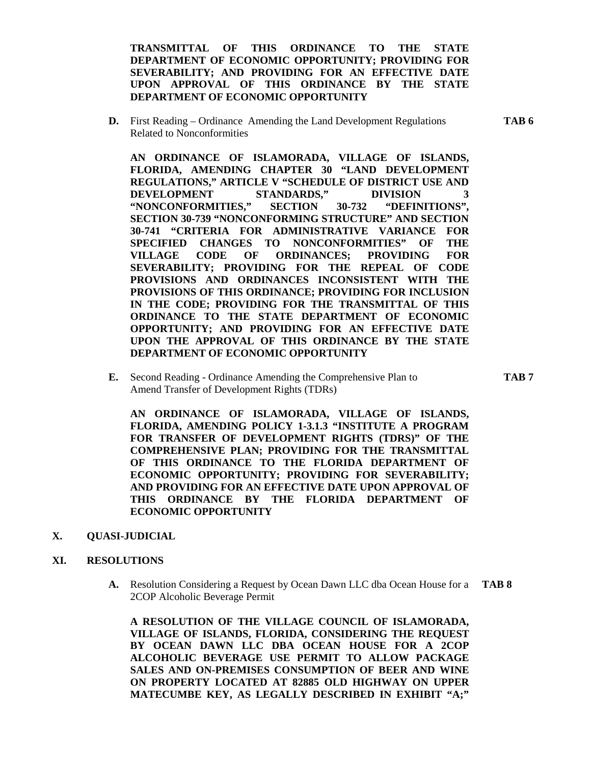**TRANSMITTAL OF THIS ORDINANCE TO THE STATE DEPARTMENT OF ECONOMIC OPPORTUNITY; PROVIDING FOR SEVERABILITY; AND PROVIDING FOR AN EFFECTIVE DATE UPON APPROVAL OF THIS ORDINANCE BY THE STATE DEPARTMENT OF ECONOMIC OPPORTUNITY**

**D.** First Reading – Ordinance Amending the Land Development Regulations **TAB 6** Related to Nonconformities

**AN ORDINANCE OF ISLAMORADA, VILLAGE OF ISLANDS, FLORIDA, AMENDING CHAPTER 30 "LAND DEVELOPMENT REGULATIONS," ARTICLE V "SCHEDULE OF DISTRICT USE AND DEVELOPMENT STANDARDS," DIVISION 3 "NONCONFORMITIES," SECTION 30-732 "DEFINITIONS", SECTION 30-739 "NONCONFORMING STRUCTURE" AND SECTION 30-741 "CRITERIA FOR ADMINISTRATIVE VARIANCE FOR SPECIFIED CHANGES TO NONCONFORMITIES" OF THE VILLAGE CODE OF ORDINANCES; PROVIDING FOR SEVERABILITY; PROVIDING FOR THE REPEAL OF CODE PROVISIONS AND ORDINANCES INCONSISTENT WITH THE PROVISIONS OF THIS ORDINANCE; PROVIDING FOR INCLUSION IN THE CODE; PROVIDING FOR THE TRANSMITTAL OF THIS ORDINANCE TO THE STATE DEPARTMENT OF ECONOMIC OPPORTUNITY; AND PROVIDING FOR AN EFFECTIVE DATE UPON THE APPROVAL OF THIS ORDINANCE BY THE STATE DEPARTMENT OF ECONOMIC OPPORTUNITY**

**E.** Second Reading - Ordinance Amending the Comprehensive Plan to **TAB 7** Amend Transfer of Development Rights (TDRs)

**AN ORDINANCE OF ISLAMORADA, VILLAGE OF ISLANDS, FLORIDA, AMENDING POLICY 1-3.1.3 "INSTITUTE A PROGRAM FOR TRANSFER OF DEVELOPMENT RIGHTS (TDRS)" OF THE COMPREHENSIVE PLAN; PROVIDING FOR THE TRANSMITTAL OF THIS ORDINANCE TO THE FLORIDA DEPARTMENT OF ECONOMIC OPPORTUNITY; PROVIDING FOR SEVERABILITY; AND PROVIDING FOR AN EFFECTIVE DATE UPON APPROVAL OF THIS ORDINANCE BY THE FLORIDA DEPARTMENT OF ECONOMIC OPPORTUNITY**

**X. QUASI-JUDICIAL**

#### **XI. RESOLUTIONS**

**A.** Resolution Considering a Request by Ocean Dawn LLC dba Ocean House for a **TAB 8** 2COP Alcoholic Beverage Permit

**A RESOLUTION OF THE VILLAGE COUNCIL OF ISLAMORADA, VILLAGE OF ISLANDS, FLORIDA, CONSIDERING THE REQUEST BY OCEAN DAWN LLC DBA OCEAN HOUSE FOR A 2COP ALCOHOLIC BEVERAGE USE PERMIT TO ALLOW PACKAGE SALES AND ON-PREMISES CONSUMPTION OF BEER AND WINE ON PROPERTY LOCATED AT 82885 OLD HIGHWAY ON UPPER MATECUMBE KEY, AS LEGALLY DESCRIBED IN EXHIBIT "A;"**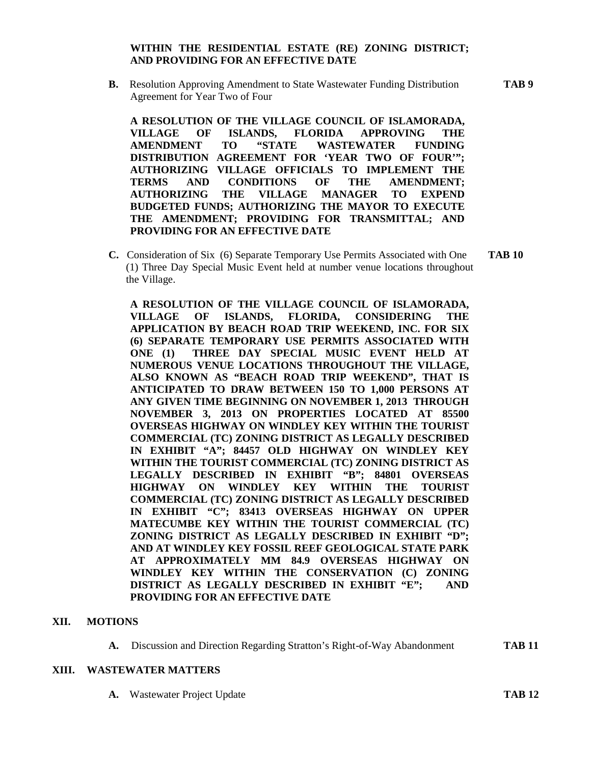## **WITHIN THE RESIDENTIAL ESTATE (RE) ZONING DISTRICT; AND PROVIDING FOR AN EFFECTIVE DATE**

**B.** Resolution Approving Amendment to State Wastewater Funding Distribution **TAB 9** Agreement for Year Two of Four

**A RESOLUTION OF THE VILLAGE COUNCIL OF ISLAMORADA, VILLAGE OF ISLANDS, FLORIDA APPROVING THE AMENDMENT TO "STATE WASTEWATER FUNDING DISTRIBUTION AGREEMENT FOR 'YEAR TWO OF FOUR'"; AUTHORIZING VILLAGE OFFICIALS TO IMPLEMENT THE TERMS AND CONDITIONS OF THE AMENDMENT; AUTHORIZING THE VILLAGE MANAGER TO EXPEND BUDGETED FUNDS; AUTHORIZING THE MAYOR TO EXECUTE THE AMENDMENT; PROVIDING FOR TRANSMITTAL; AND PROVIDING FOR AN EFFECTIVE DATE**

**C.** Consideration of Six (6) Separate Temporary Use Permits Associated with One **TAB 10** (1) Three Day Special Music Event held at number venue locations throughout the Village.

**A RESOLUTION OF THE VILLAGE COUNCIL OF ISLAMORADA, VILLAGE OF ISLANDS, FLORIDA, CONSIDERING THE APPLICATION BY BEACH ROAD TRIP WEEKEND, INC. FOR SIX (6) SEPARATE TEMPORARY USE PERMITS ASSOCIATED WITH ONE (1) THREE DAY SPECIAL MUSIC EVENT HELD AT NUMEROUS VENUE LOCATIONS THROUGHOUT THE VILLAGE, ALSO KNOWN AS "BEACH ROAD TRIP WEEKEND", THAT IS ANTICIPATED TO DRAW BETWEEN 150 TO 1,000 PERSONS AT ANY GIVEN TIME BEGINNING ON NOVEMBER 1, 2013 THROUGH NOVEMBER 3, 2013 ON PROPERTIES LOCATED AT 85500 OVERSEAS HIGHWAY ON WINDLEY KEY WITHIN THE TOURIST COMMERCIAL (TC) ZONING DISTRICT AS LEGALLY DESCRIBED IN EXHIBIT "A"; 84457 OLD HIGHWAY ON WINDLEY KEY WITHIN THE TOURIST COMMERCIAL (TC) ZONING DISTRICT AS LEGALLY DESCRIBED IN EXHIBIT "B"; 84801 OVERSEAS HIGHWAY ON WINDLEY KEY WITHIN THE TOURIST COMMERCIAL (TC) ZONING DISTRICT AS LEGALLY DESCRIBED IN EXHIBIT "C"; 83413 OVERSEAS HIGHWAY ON UPPER MATECUMBE KEY WITHIN THE TOURIST COMMERCIAL (TC) ZONING DISTRICT AS LEGALLY DESCRIBED IN EXHIBIT "D"; AND AT WINDLEY KEY FOSSIL REEF GEOLOGICAL STATE PARK AT APPROXIMATELY MM 84.9 OVERSEAS HIGHWAY ON WINDLEY KEY WITHIN THE CONSERVATION (C) ZONING DISTRICT AS LEGALLY DESCRIBED IN EXHIBIT "E"; AND PROVIDING FOR AN EFFECTIVE DATE**

#### **XII. MOTIONS**

**A.** Discussion and Direction Regarding Stratton's Right-of-Way Abandonment **TAB 11**

# **XIII. WASTEWATER MATTERS**

**A.** Wastewater Project Update **TAB 12**